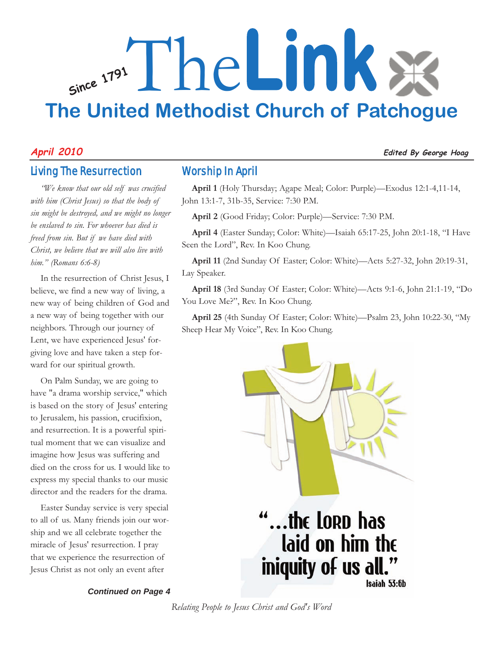# **Since <sup>1791</sup>** The**Link The United Methodist Church of Patchogue**

# **April 2010 Edited By George Hoag**

# Living The Resurrection

*"We know that our old self was crucified with him (Christ Jesus) so that the body of sin might be destroyed, and we might no longer be enslaved to sin. For whoever has died is freed from sin. But if we have died with Christ, we believe that we will also live with him." (Romans 6:6-8)*

In the resurrection of Christ Jesus, I believe, we find a new way of living, a new way of being children of God and a new way of being together with our neighbors. Through our journey of Lent, we have experienced Jesus' forgiving love and have taken a step forward for our spiritual growth.

On Palm Sunday, we are going to have "a drama worship service," which is based on the story of Jesus' entering to Jerusalem, his passion, crucifixion, and resurrection. It is a powerful spiritual moment that we can visualize and imagine how Jesus was suffering and died on the cross for us. I would like to express my special thanks to our music director and the readers for the drama.

Easter Sunday service is very special to all of us. Many friends join our worship and we all celebrate together the miracle of Jesus' resurrection. I pray that we experience the resurrection of Jesus Christ as not only an event after

*Continued on Page 4*

# Worship In April

**April 1** (Holy Thursday; Agape Meal; Color: Purple)—Exodus 12:1-4,11-14, John 13:1-7, 31b-35, Service: 7:30 P.M.

**April 2** (Good Friday; Color: Purple)—Service: 7:30 P.M.

**April 4** (Easter Sunday; Color: White)—Isaiah 65:17-25, John 20:1-18, "I Have Seen the Lord", Rev. In Koo Chung.

**April 11** (2nd Sunday Of Easter; Color: White)—Acts 5:27-32, John 20:19-31, Lay Speaker.

**April 18** (3rd Sunday Of Easter; Color: White)—Acts 9:1-6, John 21:1-19, "Do You Love Me?", Rev. In Koo Chung.

**April 25** (4th Sunday Of Easter; Color: White)—Psalm 23, John 10:22-30, "My Sheep Hear My Voice", Rev. In Koo Chung.



*Relating People to Jesus Christ and God's Word*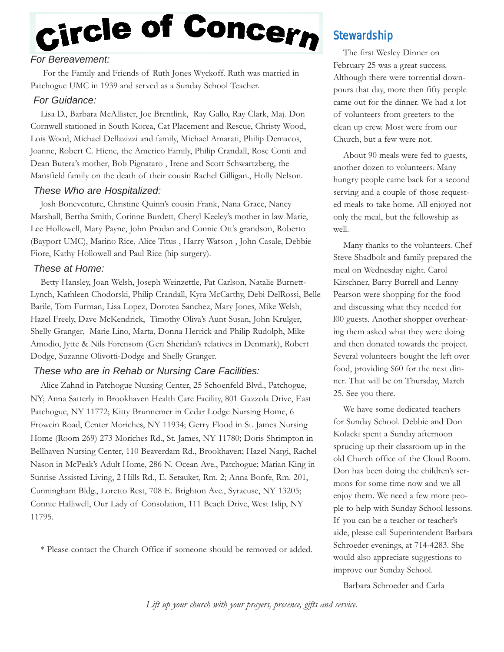# Circle of Concern

# *For Bereavement:*

For the Family and Friends of Ruth Jones Wyckoff. Ruth was married in Patchogue UMC in 1939 and served as a Sunday School Teacher.

# *For Guidance:*

Lisa D., Barbara McAllister, Joe Brentlink, Ray Gallo, Ray Clark, Maj. Don Cornwell stationed in South Korea, Cat Placement and Rescue, Christy Wood, Lois Wood, Michael Dellazizzi and family, Michael Amarati, Philip Demacos, Joanne, Robert C. Hiene, the Americo Family, Philip Crandall, Rose Conti and Dean Butera's mother, Bob Pignataro , Irene and Scott Schwartzberg, the Mansfield family on the death of their cousin Rachel Gilligan., Holly Nelson.

## *These Who are Hospitalized:*

Josh Boneventure, Christine Quinn's cousin Frank, Nana Grace, Nancy Marshall, Bertha Smith, Corinne Burdett, Cheryl Keeley's mother in law Marie, Lee Hollowell, Mary Payne, John Prodan and Connie Ott's grandson, Roberto (Bayport UMC), Marino Rice, Alice Titus , Harry Watson , John Casale, Debbie Fiore, Kathy Hollowell and Paul Rice (hip surgery).

# *These at Home:*

Betty Hansley, Joan Welsh, Joseph Weinzettle, Pat Carlson, Natalie Burnett-Lynch, Kathleen Chodorski, Philip Crandall, Kyra McCarthy, Debi DelRossi, Belle Barile, Tom Furman, Lisa Lopez, Dorotea Sanchez, Mary Jones, Mike Welsh, Hazel Freely, Dave McKendrick, Timothy Oliva's Aunt Susan, John Krulger, Shelly Granger, Marie Lino, Marta, Donna Herrick and Philip Rudolph, Mike Amodio, Jytte & Nils Forensom (Geri Sheridan's relatives in Denmark), Robert Dodge, Suzanne Olivotti-Dodge and Shelly Granger.

# *These who are in Rehab or Nursing Care Facilities:*

Alice Zahnd in Patchogue Nursing Center, 25 Schoenfeld Blvd., Patchogue, NY; Anna Satterly in Brookhaven Health Care Facility, 801 Gazzola Drive, East Patchogue, NY 11772; Kitty Brunnemer in Cedar Lodge Nursing Home, 6 Frowein Road, Center Moriches, NY 11934; Gerry Flood in St. James Nursing Home (Room 269) 273 Moriches Rd., St. James, NY 11780; Doris Shrimpton in Bellhaven Nursing Center, 110 Beaverdam Rd., Brookhaven; Hazel Nargi, Rachel Nason in McPeak's Adult Home, 286 N. Ocean Ave., Patchogue; Marian King in Sunrise Assisted Living, 2 Hills Rd., E. Setauket, Rm. 2; Anna Bonfe, Rm. 201, Cunningham Bldg., Loretto Rest, 708 E. Brighton Ave., Syracuse, NY 13205; Connie Halliwell, Our Lady of Consolation, 111 Beach Drive, West Islip, NY 11795.

\* Please contact the Church Office if someone should be removed or added.

# **Stewardship**

The first Wesley Dinner on February 25 was a great success. Although there were torrential downpours that day, more then fifty people came out for the dinner. We had a lot of volunteers from greeters to the clean up crew. Most were from our Church, but a few were not.

About 90 meals were fed to guests, another dozen to volunteers. Many hungry people came back for a second serving and a couple of those requested meals to take home. All enjoyed not only the meal, but the fellowship as well.

Many thanks to the volunteers. Chef Steve Shadbolt and family prepared the meal on Wednesday night. Carol Kirschner, Barry Burrell and Lenny Pearson were shopping for the food and discussing what they needed for l00 guests. Another shopper overhearing them asked what they were doing and then donated towards the project. Several volunteers bought the left over food, providing \$60 for the next dinner. That will be on Thursday, March 25. See you there.

We have some dedicated teachers for Sunday School. Debbie and Don Kolacki spent a Sunday afternoon sprucing up their classroom up in the old Church office of the Cloud Room. Don has been doing the children's sermons for some time now and we all enjoy them. We need a few more people to help with Sunday School lessons. If you can be a teacher or teacher's aide, please call Superintendent Barbara Schroeder evenings, at 714-4283. She would also appreciate suggestions to improve our Sunday School.

Barbara Schroeder and Carla

*Lift up your church with your prayers, presence, gifts and service.*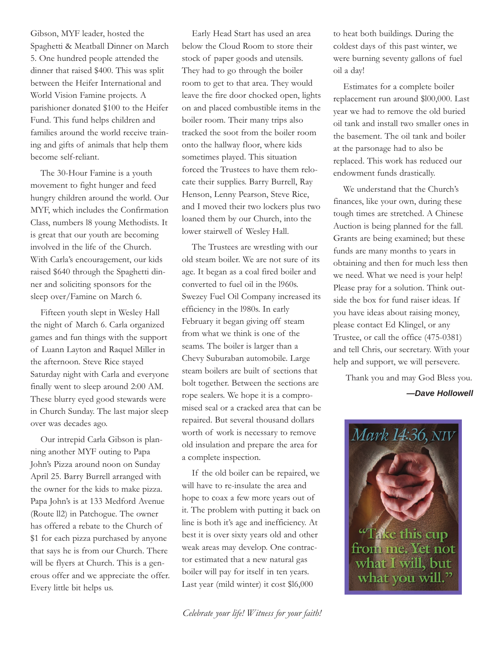Gibson, MYF leader, hosted the Spaghetti & Meatball Dinner on March 5. One hundred people attended the dinner that raised \$400. This was split between the Heifer International and World Vision Famine projects. A parishioner donated \$100 to the Heifer Fund. This fund helps children and families around the world receive training and gifts of animals that help them become self-reliant.

The 30-Hour Famine is a youth movement to fight hunger and feed hungry children around the world. Our MYF, which includes the Confirmation Class, numbers l8 young Methodists. It is great that our youth are becoming involved in the life of the Church. With Carla's encouragement, our kids raised \$640 through the Spaghetti dinner and soliciting sponsors for the sleep over/Famine on March 6.

Fifteen youth slept in Wesley Hall the night of March 6. Carla organized games and fun things with the support of Luann Layton and Raquel Miller in the afternoon. Steve Rice stayed Saturday night with Carla and everyone finally went to sleep around 2:00 AM. These blurry eyed good stewards were in Church Sunday. The last major sleep over was decades ago.

Our intrepid Carla Gibson is planning another MYF outing to Papa John's Pizza around noon on Sunday April 25. Barry Burrell arranged with the owner for the kids to make pizza. Papa John's is at 133 Medford Avenue (Route ll2) in Patchogue. The owner has offered a rebate to the Church of \$1 for each pizza purchased by anyone that says he is from our Church. There will be flyers at Church. This is a generous offer and we appreciate the offer. Every little bit helps us.

Early Head Start has used an area below the Cloud Room to store their stock of paper goods and utensils. They had to go through the boiler room to get to that area. They would leave the fire door chocked open, lights on and placed combustible items in the boiler room. Their many trips also tracked the soot from the boiler room onto the hallway floor, where kids sometimes played. This situation forced the Trustees to have them relocate their supplies. Barry Burrell, Ray Henson, Lenny Pearson, Steve Rice, and I moved their two lockers plus two loaned them by our Church, into the lower stairwell of Wesley Hall.

The Trustees are wrestling with our old steam boiler. We are not sure of its age. It began as a coal fired boiler and converted to fuel oil in the l960s. Swezey Fuel Oil Company increased its efficiency in the l980s. In early February it began giving off steam from what we think is one of the seams. The boiler is larger than a Chevy Suburaban automobile. Large steam boilers are built of sections that bolt together. Between the sections are rope sealers. We hope it is a compromised seal or a cracked area that can be repaired. But several thousand dollars worth of work is necessary to remove old insulation and prepare the area for a complete inspection.

If the old boiler can be repaired, we will have to re-insulate the area and hope to coax a few more years out of it. The problem with putting it back on line is both it's age and inefficiency. At best it is over sixty years old and other weak areas may develop. One contractor estimated that a new natural gas boiler will pay for itself in ten years. Last year (mild winter) it cost \$l6,000

*Celebrate your life! Witness for your faith!*

to heat both buildings. During the coldest days of this past winter, we were burning seventy gallons of fuel oil a day!

Estimates for a complete boiler replacement run around \$l00,000. Last year we had to remove the old buried oil tank and install two smaller ones in the basement. The oil tank and boiler at the parsonage had to also be replaced. This work has reduced our endowment funds drastically.

We understand that the Church's finances, like your own, during these tough times are stretched. A Chinese Auction is being planned for the fall. Grants are being examined; but these funds are many months to years in obtaining and then for much less then we need. What we need is your help! Please pray for a solution. Think outside the box for fund raiser ideas. If you have ideas about raising money, please contact Ed Klingel, or any Trustee, or call the office (475-0381) and tell Chris, our secretary. With your help and support, we will persevere.

Thank you and may God Bless you.

#### *—Dave Hollowell*

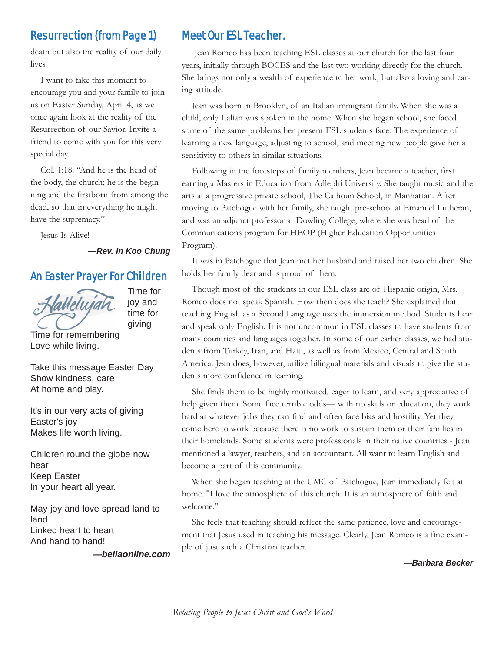# Resurrection (from Page 1)

death but also the reality of our daily lives.

I want to take this moment to encourage you and your family to join us on Easter Sunday, April 4, as we once again look at the reality of the Resurrection of our Savior. Invite a friend to come with you for this very special day.

Col. 1:18: "And he is the head of the body, the church; he is the beginning and the firstborn from among the dead, so that in everything he might have the supremacy."

Jesus Is Alive!

#### *—Rev. In Koo Chung*

### An Easter Prayer For Children



Time for joy and time for giving

Time for remembering Love while living.

Take this message Easter Day Show kindness, care At home and play.

It's in our very acts of giving Easter's joy Makes life worth living.

Children round the globe now hear Keep Easter In your heart all year.

May joy and love spread land to land Linked heart to heart And hand to hand!

*—bellaonline.com*

# Meet Our ESL Teacher.

Jean Romeo has been teaching ESL classes at our church for the last four years, initially through BOCES and the last two working directly for the church. She brings not only a wealth of experience to her work, but also a loving and caring attitude.

Jean was born in Brooklyn, of an Italian immigrant family. When she was a child, only Italian was spoken in the home. When she began school, she faced some of the same problems her present ESL students face. The experience of learning a new language, adjusting to school, and meeting new people gave her a sensitivity to others in similar situations.

Following in the footsteps of family members, Jean became a teacher, first earning a Masters in Education from Adlephi University. She taught music and the arts at a progressive private school, The Calhoun School, in Manhattan. After moving to Patchogue with her family, she taught pre-school at Emanuel Lutheran, and was an adjunct professor at Dowling College, where she was head of the Communications program for HEOP (Higher Education Opportunities Program).

It was in Patchogue that Jean met her husband and raised her two children. She holds her family dear and is proud of them.

Though most of the students in our ESL class are of Hispanic origin, Mrs. Romeo does not speak Spanish. How then does she teach? She explained that teaching English as a Second Language uses the immersion method. Students hear and speak only English. It is not uncommon in ESL classes to have students from many countries and languages together. In some of our earlier classes, we had students from Turkey, Iran, and Haiti, as well as from Mexico, Central and South America. Jean does, however, utilize bilingual materials and visuals to give the students more confidence in learning.

She finds them to be highly motivated, eager to learn, and very appreciative of help given them. Some face terrible odds— with no skills or education, they work hard at whatever jobs they can find and often face bias and hostility. Yet they come here to work because there is no work to sustain them or their families in their homelands. Some students were professionals in their native countries - Jean mentioned a lawyer, teachers, and an accountant. All want to learn English and become a part of this community.

When she began teaching at the UMC of Patchogue, Jean immediately felt at home. "I love the atmosphere of this church. It is an atmosphere of faith and welcome."

She feels that teaching should reflect the same patience, love and encouragement that Jesus used in teaching his message. Clearly, Jean Romeo is a fine example of just such a Christian teacher.

*—Barbara Becker*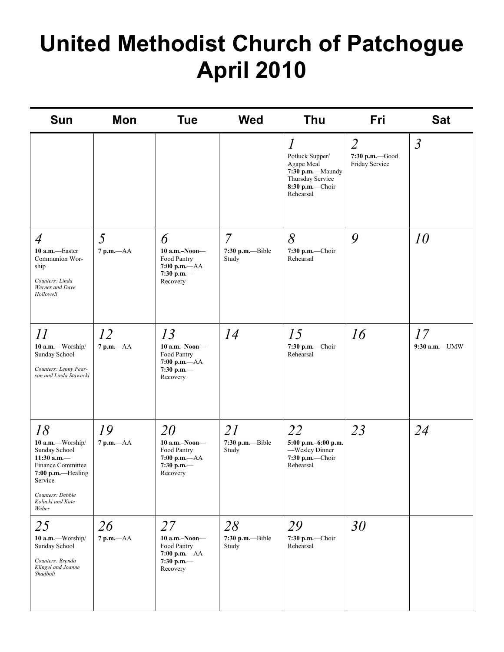# **United Methodist Church of Patchogue April 2010**

| <b>Sun</b>                                                                                                                                                      | Mon                | <b>Tue</b>                                                                            | <b>Wed</b>                                  | Thu                                                                                                                    | Fri                                                | <b>Sat</b>            |
|-----------------------------------------------------------------------------------------------------------------------------------------------------------------|--------------------|---------------------------------------------------------------------------------------|---------------------------------------------|------------------------------------------------------------------------------------------------------------------------|----------------------------------------------------|-----------------------|
|                                                                                                                                                                 |                    |                                                                                       |                                             | $\mathcal{I}$<br>Potluck Supper/<br>Agape Meal<br>7:30 p.m.-Maundy<br>Thursday Service<br>8:30 p.m.-Choir<br>Rehearsal | $\overline{2}$<br>7:30 p.m. Good<br>Friday Service | $\mathfrak{Z}$        |
| $\overline{4}$<br>10 a.m.-Easter<br>Communion Wor-<br>ship<br>Counters: Linda<br>Werner and Dave<br>Hollowell                                                   | 5<br>$7 p.m. -AA$  | 6<br>$10$ a.m.-Noon-<br>Food Pantry<br>$7:00$ p.m.— $AA$<br>7:30 p.m.-<br>Recovery    | $\overline{7}$<br>7:30 p.m.--Bible<br>Study | 8<br>7:30 p.m.-Choir<br>Rehearsal                                                                                      | 9                                                  | 10                    |
| 11<br>10 a.m.-Worship/<br>Sunday School<br>Counters: Lenny Pear-<br>son and Linda Stawecki                                                                      | 12<br>$7 p.m. -AA$ | 13<br>$10$ a.m.-Noon-<br>Food Pantry<br>$7:00$ p.m.- $AA$<br>7:30 p.m.-<br>Recovery   | 14                                          | 15<br>7:30 p.m.-Choir<br>Rehearsal                                                                                     | 16                                                 | 17<br>$9:30$ a.m.-UMW |
| 18<br>10 a.m.-Worship/<br>Sunday School<br>11:30 a.m. $-$<br>Finance Committee<br>7:00 p.m.-Healing<br>Service<br>Counters: Debbie<br>Kolacki and Kate<br>Weber | 19<br>$7 p.m. -AA$ | 20<br>$10$ a.m.-Noon-<br>Food Pantry<br>7:00 p.m.-AA<br>7:30 p.m.-<br>Recovery        | 21<br>7:30 p.m.--Bible<br>Study             | 22<br>5:00 p.m.-6:00 p.m.<br>-Wesley Dinner<br>7:30 p.m.-Choir<br>Rehearsal                                            | 23                                                 | 24                    |
| 25<br>10 a.m.-Worship/<br>Sunday School<br>Counters: Brenda<br>Klingel and Joanne<br>Shadbolt                                                                   | 26<br>$7 p.m. -AA$ | 27<br>$10$ a.m.-Noon-<br>Food Pantry<br>$7:00$ p.m. $-AA$<br>$7:30$ p.m.-<br>Recovery | 28<br>$7:30$ p.m.--Bible<br>Study           | 29<br>7:30 p.m.-Choir<br>Rehearsal                                                                                     | 30                                                 |                       |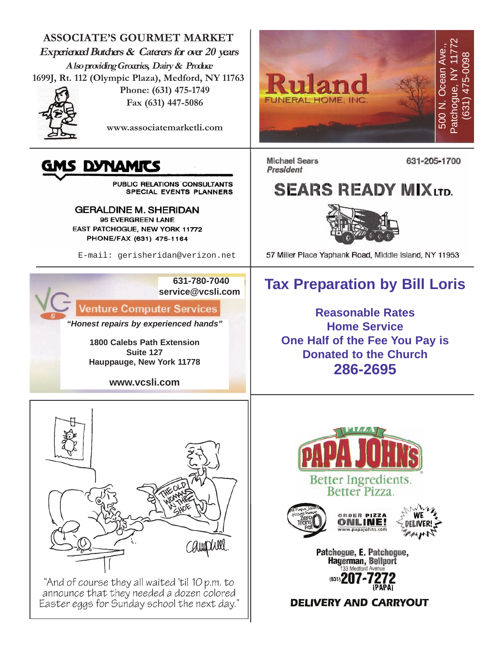

"And of course they all waited 'til 10 p.m. to announce that they needed a dozen colored Easter eggs for Sunday school the next day."

**DELIVERY AND CARRYOUT**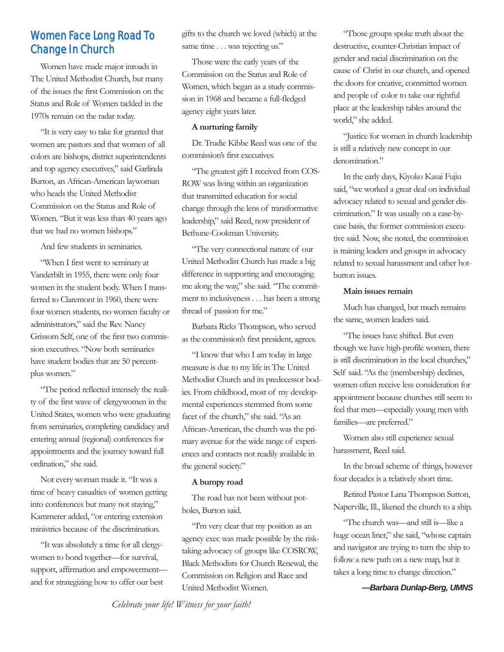# Women Face Long Road To Change In Church

Women have made major inroads in The United Methodist Church, but many of the issues the first Commission on the Status and Role of Women tackled in the 1970s remain on the radar today.

"It is very easy to take for granted that women are pastors and that women of all colors are bishops, district superintendents and top agency executives," said Garlinda Burton, an African-American laywoman who heads the United Methodist Commission on the Status and Role of Women. "But it was less than 40 years ago that we had no women bishops."

And few students in seminaries.

"When I first went to seminary at Vanderbilt in 1955, there were only four women in the student body. When I transferred to Claremont in 1960, there were four women students, no women faculty or administrators," said the Rev. Nancy Grissom Self, one of the first two commission executives. "Now both seminaries have student bodies that are 50 percentplus women."

"The period reflected intensely the reality of the first wave of clergywomen in the United States, women who were graduating from seminaries, completing candidacy and entering annual (regional) conferences for appointments and the journey toward full ordination," she said.

Not every woman made it. "It was a time of heavy casualties of women getting into conferences but many not staying," Kammerer added, "or entering extension ministries because of the discrimination.

"It was absolutely a time for all clergywomen to bond together—for survival, support, affirmation and empowerment and for strategizing how to offer our best

gifts to the church we loved (which) at the same time . . . was rejecting us."

Those were the early years of the Commission on the Status and Role of Women, which began as a study commission in 1968 and became a full-fledged agency eight years later.

#### **A nurturing family**

Dr. Trudie Kibbe Reed was one of the commission's first executives.

"The greatest gift I received from COS-ROW was living within an organization that transmitted education for social change through the lens of transformative leadership," said Reed, now president of Bethune-Cookman University.

"The very connectional nature of our United Methodist Church has made a big difference in supporting and encouraging me along the way," she said. "The commitment to inclusiveness . . . has been a strong thread of passion for me."

Barbara Ricks Thompson, who served as the commission's first president, agrees.

"I know that who I am today in large measure is due to my life in The United Methodist Church and its predecessor bodies. From childhood, most of my developmental experiences stemmed from some facet of the church," she said. "As an African-American, the church was the primary avenue for the wide range of experiences and contacts not readily available in the general society."

#### **A bumpy road**

The road has not been without potholes, Burton said.

"I'm very clear that my position as an agency exec was made possible by the risktaking advocacy of groups like COSROW, Black Methodists for Church Renewal, the Commission on Religion and Race and United Methodist Women.

"Those groups spoke truth about the destructive, counter-Christian impact of gender and racial discrimination on the cause of Christ in our church, and opened the doors for creative, committed women and people of color to take our rightful place at the leadership tables around the world," she added.

"Justice for women in church leadership is still a relatively new concept in our denomination."

In the early days, Kiyoko Kasai Fujiu said, "we worked a great deal on individual advocacy related to sexual and gender discrimination." It was usually on a case-bycase basis, the former commission executive said. Now, she noted, the commission is training leaders and groups in advocacy related to sexual harassment and other hotbutton issues.

#### **Main issues remain**

Much has changed, but much remains the same, women leaders said.

"The issues have shifted. But even though we have high-profile women, there is still discrimination in the local churches," Self said. "As the (membership) declines, women often receive less consideration for appointment because churches still seem to feel that men—especially young men with families—are preferred."

Women also still experience sexual harassment, Reed said.

In the broad scheme of things, however four decades is a relatively short time.

Retired Pastor Lana Thompson Sutton, Naperville, Ill., likened the church to a ship.

"The church was—and still is—like a huge ocean liner," she said, "whose captain and navigator are trying to turn the ship to follow a new path on a new map, but it takes a long time to change direction."

*—Barbara Dunlap-Berg, UMNS*

*Celebrate your life! Witness for your faith!*